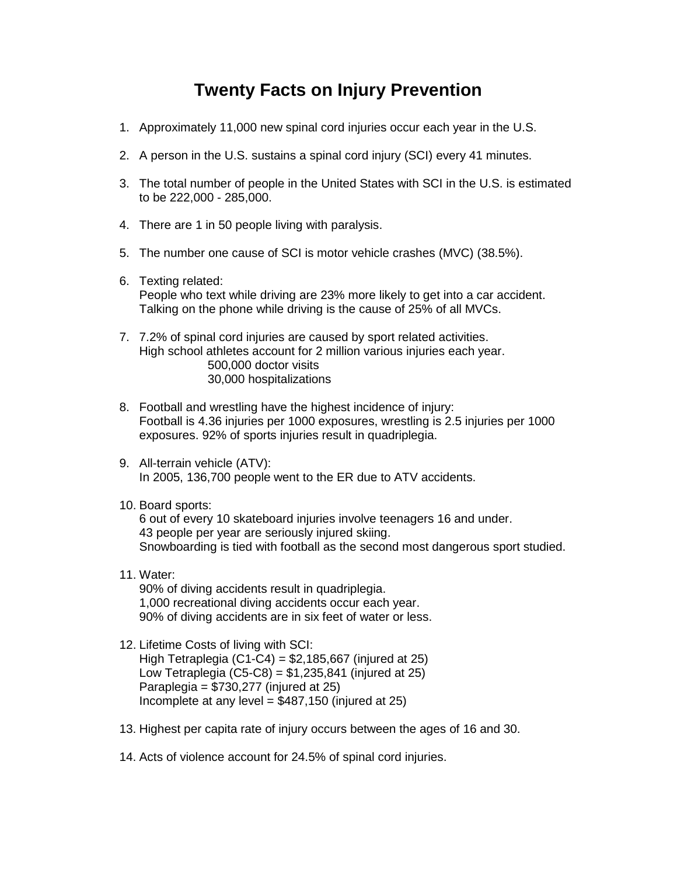## **Twenty Facts on Injury Prevention**

- 1. Approximately 11,000 new spinal cord injuries occur each year in the U.S.
- 2. A person in the U.S. sustains a spinal cord injury (SCI) every 41 minutes.
- 3. The total number of people in the United States with SCI in the U.S. is estimated to be 222,000 - 285,000.
- 4. There are 1 in 50 people living with paralysis.
- 5. The number one cause of SCI is motor vehicle crashes (MVC) (38.5%).
- 6. Texting related: People who text while driving are 23% more likely to get into a car accident. Talking on the phone while driving is the cause of 25% of all MVCs.
- 7. 7.2% of spinal cord injuries are caused by sport related activities. High school athletes account for 2 million various injuries each year. 500,000 doctor visits 30,000 hospitalizations
- 8. Football and wrestling have the highest incidence of injury: Football is 4.36 injuries per 1000 exposures, wrestling is 2.5 injuries per 1000 exposures. 92% of sports injuries result in quadriplegia.
- 9. All-terrain vehicle (ATV): In 2005, 136,700 people went to the ER due to ATV accidents.
- 10. Board sports:

6 out of every 10 skateboard injuries involve teenagers 16 and under. 43 people per year are seriously injured skiing. Snowboarding is tied with football as the second most dangerous sport studied.

11. Water:

90% of diving accidents result in quadriplegia. 1,000 recreational diving accidents occur each year. 90% of diving accidents are in six feet of water or less.

- 12. Lifetime Costs of living with SCI: High Tetraplegia  $(C1-C4) = $2,185,667$  (injured at 25) Low Tetraplegia  $(C5-C8) = $1,235,841$  (injured at 25) Paraplegia = \$730,277 (injured at 25) Incomplete at any level  $= $487,150$  (injured at 25)
- 13. Highest per capita rate of injury occurs between the ages of 16 and 30.
- 14. Acts of violence account for 24.5% of spinal cord injuries.